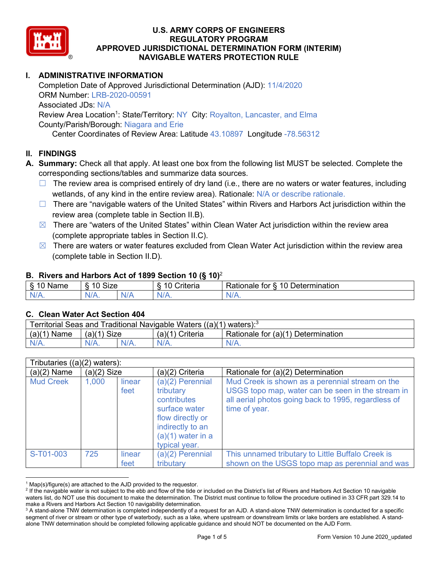

# **I. ADMINISTRATIVE INFORMATION**

Completion Date of Approved Jurisdictional Determination (AJD): 11/4/2020 ORM Number: LRB-2020-00591 Associated JDs: N/A Review Area Location<sup>1</sup>: State/Territory: NY City: Royalton, Lancaster, and Elma County/Parish/Borough: Niagara and Erie

Center Coordinates of Review Area: Latitude 43.10897 Longitude -78.56312

## **II. FINDINGS**

- **A. Summary:** Check all that apply. At least one box from the following list MUST be selected. Complete the corresponding sections/tables and summarize data sources.
	- $\Box$  The review area is comprised entirely of dry land (i.e., there are no waters or water features, including wetlands, of any kind in the entire review area). Rationale: N/A or describe rationale.
	- □ There are "navigable waters of the United States" within Rivers and Harbors Act jurisdiction within the review area (complete table in Section II.B).
	- $\boxtimes$  There are "waters of the United States" within Clean Water Act jurisdiction within the review area (complete appropriate tables in Section II.C).
	- $\boxtimes$  There are waters or water features excluded from Clean Water Act jurisdiction within the review area (complete table in Section II.D).

### **B. Rivers and Harbors Act of 1899 Section 10 (§ 10)**<sup>2</sup>

| ivame | $\sim$<br>$\sim$<br>$\cdot$<br>SIZE<br>` | `riteria | $\overline{\phantom{a}}$<br>10<br>-<br>⊃etermınatıon<br>tor<br>ationale <sup>2</sup> |
|-------|------------------------------------------|----------|--------------------------------------------------------------------------------------|
| . .   | N/A<br>11 L V                            | N        | N<br><b>***</b> **                                                                   |

## **C. Clean Water Act Section 404**

| Territorial Seas and Traditional Navigable Waters ((a)(1) waters): $3$ |                |         |                 |                                    |  |
|------------------------------------------------------------------------|----------------|---------|-----------------|------------------------------------|--|
| (a)(1)<br>Name                                                         | (a)(1)<br>Size |         | (a)(1) Criteria | Rationale for (a)(1) Determination |  |
|                                                                        | $N/A$ .        | $N/A$ . | $N/A$ .         | $N/A$ .                            |  |

|                  | Tributaries $((a)(2)$ waters): |                |                                                                                                                                                 |                                                                                                                                                                              |  |  |  |
|------------------|--------------------------------|----------------|-------------------------------------------------------------------------------------------------------------------------------------------------|------------------------------------------------------------------------------------------------------------------------------------------------------------------------------|--|--|--|
| $(a)(2)$ Name    | $(a)(2)$ Size                  |                | (a)(2) Criteria                                                                                                                                 | Rationale for (a)(2) Determination                                                                                                                                           |  |  |  |
| <b>Mud Creek</b> | 1,000                          | linear<br>feet | $(a)(2)$ Perennial<br>tributary<br>contributes<br>surface water<br>flow directly or<br>indirectly to an<br>$(a)(1)$ water in a<br>typical year. | Mud Creek is shown as a perennial stream on the<br>USGS topo map, water can be seen in the stream in<br>all aerial photos going back to 1995, regardless of<br>time of year. |  |  |  |
| S-T01-003        | 725                            | linear<br>feet | (a)(2) Perennial<br>tributary                                                                                                                   | This unnamed tributary to Little Buffalo Creek is<br>shown on the USGS topo map as perennial and was                                                                         |  |  |  |

 $1$  Map(s)/figure(s) are attached to the AJD provided to the requestor.

<sup>&</sup>lt;sup>2</sup> If the navigable water is not subject to the ebb and flow of the tide or included on the District's list of Rivers and Harbors Act Section 10 navigable waters list, do NOT use this document to make the determination. The District must continue to follow the procedure outlined in 33 CFR part 329.14 to make a Rivers and Harbors Act Section 10 navigability determination.

<sup>&</sup>lt;sup>3</sup> A stand-alone TNW determination is completed independently of a request for an AJD. A stand-alone TNW determination is conducted for a specific segment of river or stream or other type of waterbody, such as a lake, where upstream or downstream limits or lake borders are established. A standalone TNW determination should be completed following applicable guidance and should NOT be documented on the AJD Form.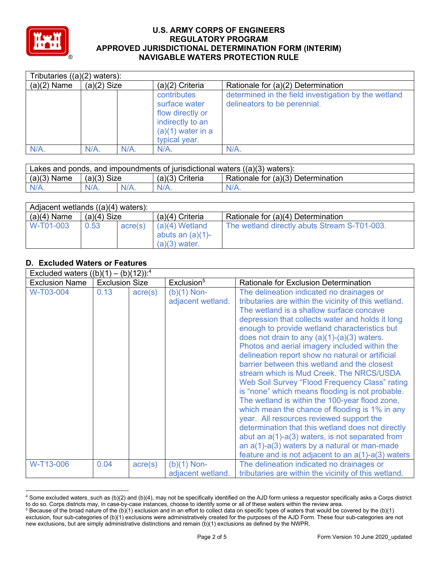

| Tributaries $((a)(2)$ waters): |               |      |                                                                                                              |                                                                                      |  |  |  |
|--------------------------------|---------------|------|--------------------------------------------------------------------------------------------------------------|--------------------------------------------------------------------------------------|--|--|--|
| $(a)(2)$ Name                  | $(a)(2)$ Size |      | $(a)(2)$ Criteria                                                                                            | Rationale for (a)(2) Determination                                                   |  |  |  |
|                                |               |      | contributes<br>surface water<br>flow directly or<br>indirectly to an<br>$(a)(1)$ water in a<br>typical year. | determined in the field investigation by the wetland<br>delineators to be perennial. |  |  |  |
| $N/A$ .                        | $N/A$ .       | N/A. | N/A                                                                                                          | N/A                                                                                  |  |  |  |

| Lakes and ponds, and impoundments of jurisdictional waters $((a)(3)$ waters): |               |         |                   |                                    |  |
|-------------------------------------------------------------------------------|---------------|---------|-------------------|------------------------------------|--|
| $(a)(3)$ Name                                                                 | $(a)(3)$ Size |         | $(a)(3)$ Criteria | Rationale for (a)(3) Determination |  |
| $N/A$ .                                                                       | NI/A          | $N/A$ . | $N/A$ .           | $N/A$ .                            |  |

| Adjacent wetlands $((a)(4)$ waters): |               |         |                                                            |                                              |  |  |
|--------------------------------------|---------------|---------|------------------------------------------------------------|----------------------------------------------|--|--|
| $(a)(4)$ Name                        | $(a)(4)$ Size |         | $(a)(4)$ Criteria                                          | Rationale for (a)(4) Determination           |  |  |
| W-T01-003                            | 0.53          | acre(s) | $(a)(4)$ Wetland<br>abuts an $(a)(1)$ -<br>$(a)(3)$ water. | The wetland directly abuts Stream S-T01-003. |  |  |

# **D. Excluded Waters or Features**

| Excluded waters $((b)(1) - (b)(12))$ : <sup>4</sup> |                       |                  |                                    |                                                                                                                                                                                                                                                                                                                                                                                                                                                                                                         |  |  |  |
|-----------------------------------------------------|-----------------------|------------------|------------------------------------|---------------------------------------------------------------------------------------------------------------------------------------------------------------------------------------------------------------------------------------------------------------------------------------------------------------------------------------------------------------------------------------------------------------------------------------------------------------------------------------------------------|--|--|--|
| <b>Exclusion Name</b>                               | <b>Exclusion Size</b> |                  | Exclusion <sup>5</sup>             | Rationale for Exclusion Determination                                                                                                                                                                                                                                                                                                                                                                                                                                                                   |  |  |  |
| W-T03-004                                           | 0.13                  | $\text{acre}(s)$ | $(b)(1)$ Non-<br>adjacent wetland. | The delineation indicated no drainages or<br>tributaries are within the vicinity of this wetland.<br>The wetland is a shallow surface concave<br>depression that collects water and holds it long<br>enough to provide wetland characteristics but<br>does not drain to any $(a)(1)-(a)(3)$ waters.                                                                                                                                                                                                     |  |  |  |
|                                                     |                       |                  |                                    | Photos and aerial imagery included within the<br>delineation report show no natural or artificial<br>barrier between this wetland and the closest<br>stream which is Mud Creek. The NRCS/USDA<br>Web Soil Survey "Flood Frequency Class" rating<br>is "none" which means flooding is not probable.<br>The wetland is within the 100-year flood zone,<br>which mean the chance of flooding is 1% in any<br>year. All resources reviewed support the<br>determination that this wetland does not directly |  |  |  |
|                                                     |                       |                  |                                    | abut an $a(1)$ - $a(3)$ waters, is not separated from<br>an $a(1)$ - $a(3)$ waters by a natural or man-made<br>feature and is not adjacent to an $a(1)$ -a(3) waters                                                                                                                                                                                                                                                                                                                                    |  |  |  |
| W-T13-006                                           | 0.04                  | $\text{acre}(s)$ | (b)(1) Non-<br>adjacent wetland.   | The delineation indicated no drainages or<br>tributaries are within the vicinity of this wetland.                                                                                                                                                                                                                                                                                                                                                                                                       |  |  |  |

<sup>4</sup> Some excluded waters, such as (b)(2) and (b)(4), may not be specifically identified on the AJD form unless a requestor specifically asks a Corps district to do so. Corps districts may, in case-by-case instances, choose to identify some or all of these waters within the review area.

<sup>5</sup> Because of the broad nature of the (b)(1) exclusion and in an effort to collect data on specific types of waters that would be covered by the (b)(1) exclusion, four sub-categories of (b)(1) exclusions were administratively created for the purposes of the AJD Form. These four sub-categories are not new exclusions, but are simply administrative distinctions and remain (b)(1) exclusions as defined by the NWPR.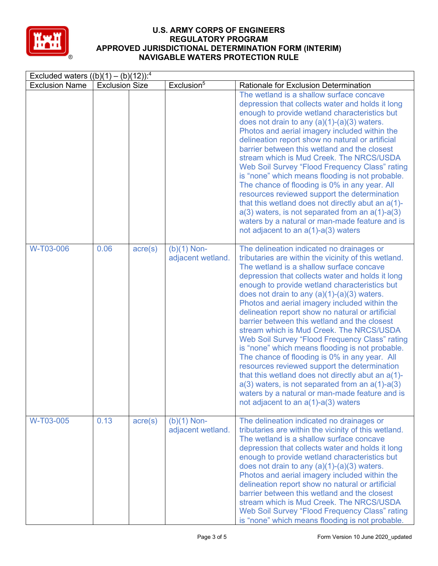

| Excluded waters $((b)(1) - (b)(12))$ : <sup>4</sup> |                       |                  |                                    |                                                                                                                                                                                                                                                                                                                                                                                                                                                                                                                                                                                                                                                                                                                                                                                                                                                                                                                        |  |  |
|-----------------------------------------------------|-----------------------|------------------|------------------------------------|------------------------------------------------------------------------------------------------------------------------------------------------------------------------------------------------------------------------------------------------------------------------------------------------------------------------------------------------------------------------------------------------------------------------------------------------------------------------------------------------------------------------------------------------------------------------------------------------------------------------------------------------------------------------------------------------------------------------------------------------------------------------------------------------------------------------------------------------------------------------------------------------------------------------|--|--|
| <b>Exclusion Name</b>                               | <b>Exclusion Size</b> |                  | Exclusion <sup>5</sup>             | <b>Rationale for Exclusion Determination</b>                                                                                                                                                                                                                                                                                                                                                                                                                                                                                                                                                                                                                                                                                                                                                                                                                                                                           |  |  |
|                                                     |                       |                  |                                    | The wetland is a shallow surface concave<br>depression that collects water and holds it long<br>enough to provide wetland characteristics but<br>does not drain to any $(a)(1)-(a)(3)$ waters.<br>Photos and aerial imagery included within the<br>delineation report show no natural or artificial<br>barrier between this wetland and the closest<br>stream which is Mud Creek. The NRCS/USDA<br>Web Soil Survey "Flood Frequency Class" rating<br>is "none" which means flooding is not probable.<br>The chance of flooding is 0% in any year. All<br>resources reviewed support the determination<br>that this wetland does not directly abut an a(1)-<br>$a(3)$ waters, is not separated from an $a(1)$ - $a(3)$<br>waters by a natural or man-made feature and is<br>not adjacent to an $a(1)$ - $a(3)$ waters                                                                                                   |  |  |
| W-T03-006                                           | 0.06                  | $\text{acre}(s)$ | $(b)(1)$ Non-<br>adjacent wetland. | The delineation indicated no drainages or<br>tributaries are within the vicinity of this wetland.<br>The wetland is a shallow surface concave<br>depression that collects water and holds it long<br>enough to provide wetland characteristics but<br>does not drain to any $(a)(1)-(a)(3)$ waters.<br>Photos and aerial imagery included within the<br>delineation report show no natural or artificial<br>barrier between this wetland and the closest<br>stream which is Mud Creek. The NRCS/USDA<br>Web Soil Survey "Flood Frequency Class" rating<br>is "none" which means flooding is not probable.<br>The chance of flooding is 0% in any year. All<br>resources reviewed support the determination<br>that this wetland does not directly abut an a(1)-<br>$a(3)$ waters, is not separated from an $a(1)$ - $a(3)$<br>waters by a natural or man-made feature and is<br>not adjacent to an $a(1)$ -a(3) waters |  |  |
| W-T03-005                                           | 0.13                  | $\text{acre}(s)$ | $(b)(1)$ Non-<br>adjacent wetland. | The delineation indicated no drainages or<br>tributaries are within the vicinity of this wetland.<br>The wetland is a shallow surface concave<br>depression that collects water and holds it long<br>enough to provide wetland characteristics but<br>does not drain to any (a)(1)-(a)(3) waters.<br>Photos and aerial imagery included within the<br>delineation report show no natural or artificial<br>barrier between this wetland and the closest<br>stream which is Mud Creek. The NRCS/USDA<br>Web Soil Survey "Flood Frequency Class" rating<br>is "none" which means flooding is not probable.                                                                                                                                                                                                                                                                                                                |  |  |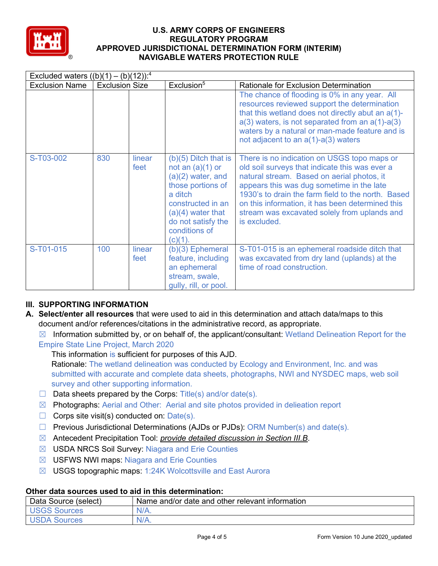

| Excluded waters $((b)(1) - (b)(12))$ : <sup>4</sup> |                       |                |                                                                                                                                                                                                      |                                                                                                                                                                                                                                                                                                                                                                    |  |  |  |
|-----------------------------------------------------|-----------------------|----------------|------------------------------------------------------------------------------------------------------------------------------------------------------------------------------------------------------|--------------------------------------------------------------------------------------------------------------------------------------------------------------------------------------------------------------------------------------------------------------------------------------------------------------------------------------------------------------------|--|--|--|
| <b>Exclusion Name</b>                               | <b>Exclusion Size</b> |                | Exclusion <sup>5</sup>                                                                                                                                                                               | <b>Rationale for Exclusion Determination</b>                                                                                                                                                                                                                                                                                                                       |  |  |  |
|                                                     |                       |                |                                                                                                                                                                                                      | The chance of flooding is 0% in any year. All<br>resources reviewed support the determination<br>that this wetland does not directly abut an a(1)-<br>$a(3)$ waters, is not separated from an $a(1)$ - $a(3)$<br>waters by a natural or man-made feature and is<br>not adjacent to an $a(1)$ - $a(3)$ waters                                                       |  |  |  |
| S-T03-002                                           | 830                   | linear<br>feet | $(b)(5)$ Ditch that is<br>not an $(a)(1)$ or<br>$(a)(2)$ water, and<br>those portions of<br>a ditch<br>constructed in an<br>$(a)(4)$ water that<br>do not satisfy the<br>conditions of<br>$(c)(1)$ . | There is no indication on USGS topo maps or<br>old soil surveys that indicate this was ever a<br>natural stream. Based on aerial photos, it<br>appears this was dug sometime in the late<br>1930's to drain the farm field to the north. Based<br>on this information, it has been determined this<br>stream was excavated solely from uplands and<br>is excluded. |  |  |  |
| S-T01-015                                           | 100                   | linear<br>feet | $(b)(3)$ Ephemeral<br>feature, including<br>an ephemeral<br>stream, swale,<br>gully, rill, or pool.                                                                                                  | S-T01-015 is an ephemeral roadside ditch that<br>was excavated from dry land (uplands) at the<br>time of road construction.                                                                                                                                                                                                                                        |  |  |  |

# **III. SUPPORTING INFORMATION**

- **A. Select/enter all resources** that were used to aid in this determination and attach data/maps to this document and/or references/citations in the administrative record, as appropriate.
	- $\boxtimes$  Information submitted by, or on behalf of, the applicant/consultant: Wetland Delineation Report for the Empire State Line Project, March 2020

This information is sufficient for purposes of this AJD.

Rationale: The wetland delineation was conducted by Ecology and Environment, Inc. and was submitted with accurate and complete data sheets, photographs, NWI and NYSDEC maps, web soil survey and other supporting information.

- $\Box$  Data sheets prepared by the Corps: Title(s) and/or date(s).
- ☒ Photographs: Aerial and Other: Aerial and site photos provided in delieation report
- $\Box$  Corps site visit(s) conducted on: Date(s).
- $\Box$  Previous Jurisdictional Determinations (AJDs or PJDs): ORM Number(s) and date(s).
- ☒ Antecedent Precipitation Tool: *provide detailed discussion in Section III.B*.
- ☒ USDA NRCS Soil Survey: Niagara and Erie Counties
- **⊠** USFWS NWI maps: Niagara and Erie Counties
- ☒ USGS topographic maps: 1:24K Wolcottsville and East Aurora

## **Other data sources used to aid in this determination:**

| Data Source (select) | Name and/or date and other relevant information |
|----------------------|-------------------------------------------------|
| <b>USGS Sources</b>  | $N/A$ .                                         |
| <b>USDA Sources</b>  | $N/A$ .                                         |